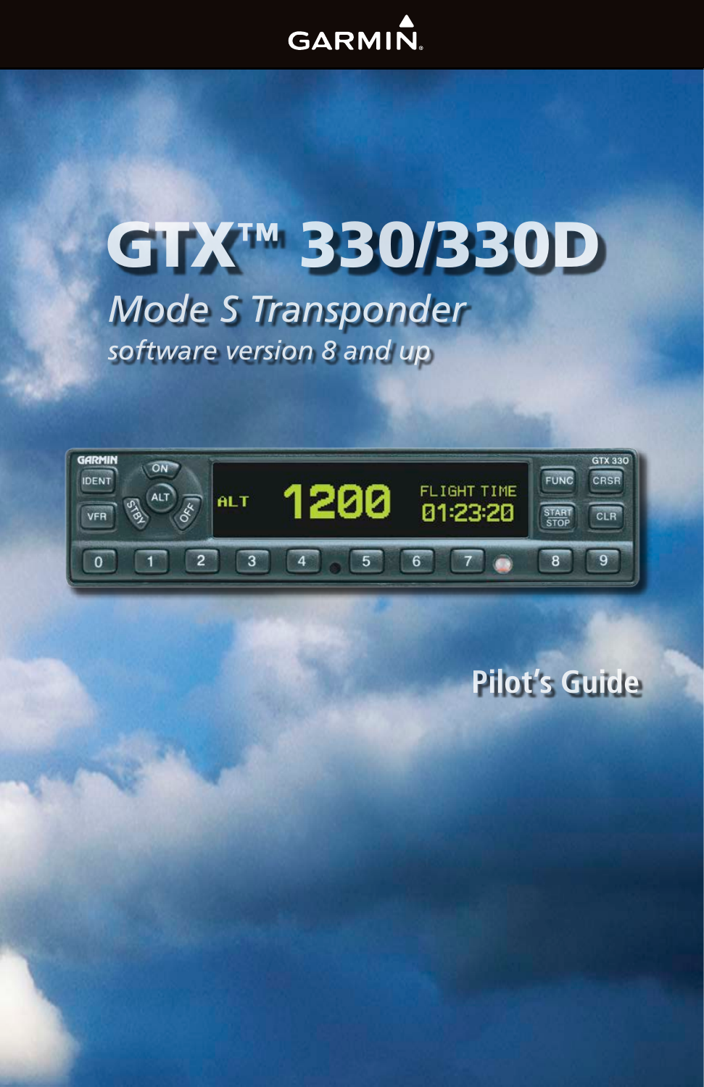## GARMIN.

# *Mode S Transponder* GTX™ 330/330D *software version 8 and up*



## **Pilot's Guide**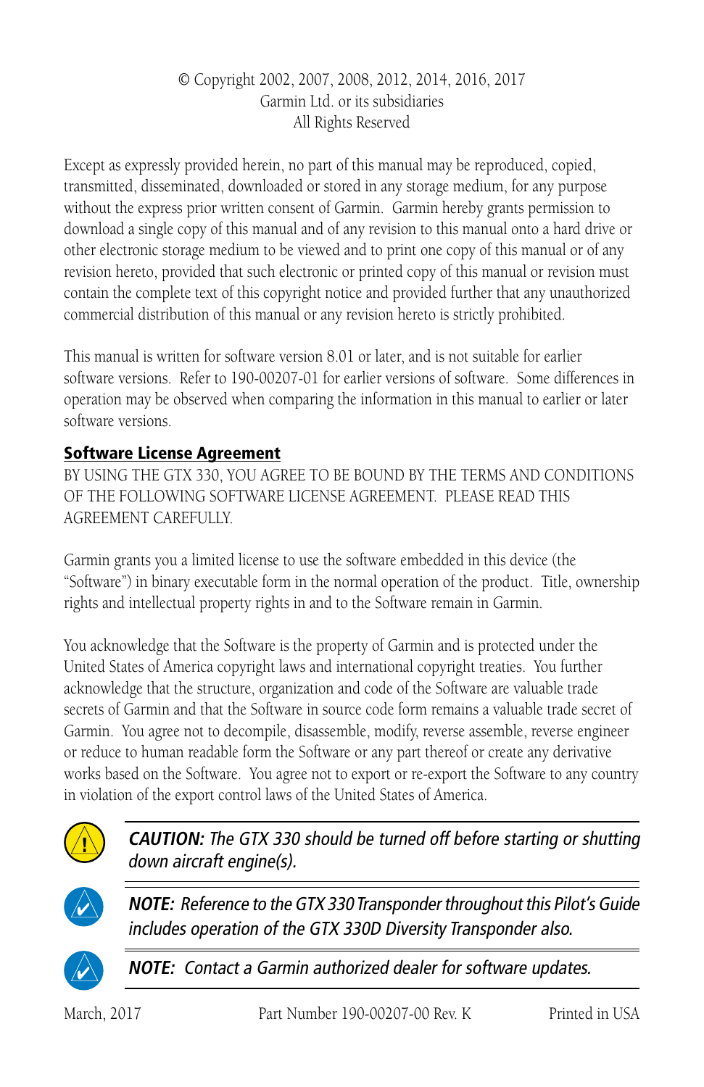#### © Copyright 2002, 2007, 2008, 2012, 2014, 2016, 2017 Garmin Ltd. or its subsidiaries All Rights Reserved

Except as expressly provided herein, no part of this manual may be reproduced, copied, transmitted, disseminated, downloaded or stored in any storage medium, for any purpose without the express prior written consent of Garmin. Garmin hereby grants permission to download a single copy of this manual and of any revision to this manual onto a hard drive or other electronic storage medium to be viewed and to print one copy of this manual or of any revision hereto, provided that such electronic or printed copy of this manual or revision must contain the complete text of this copyright notice and provided further that any unauthorized commercial distribution of this manual or any revision hereto is strictly prohibited.

This manual is written for software version 8.01 or later, and is not suitable for earlier software versions. Refer to 190-00207-01 for earlier versions of software. Some differences in operation may be observed when comparing the information in this manual to earlier or later software versions.

#### Software License Agreement

BY USING THE GTX 330, YOU AGREE TO BE BOUND BY THE TERMS AND CONDITIONS OF THE FOLLOWING SOFTWARE LICENSE AGREEMENT. PLEASE READ THIS AGREEMENT CAREFULLY.

Garmin grants you a limited license to use the software embedded in this device (the "Software") in binary executable form in the normal operation of the product. Title, ownership rights and intellectual property rights in and to the Software remain in Garmin.

You acknowledge that the Software is the property of Garmin and is protected under the United States of America copyright laws and international copyright treaties. You further acknowledge that the structure, organization and code of the Software are valuable trade secrets of Garmin and that the Software in source code form remains a valuable trade secret of Garmin. You agree not to decompile, disassemble, modify, reverse assemble, reverse engineer or reduce to human readable form the Software or any part thereof or create any derivative works based on the Software. You agree not to export or re-export the Software to any country in violation of the export control laws of the United States of America.



**CAUTION:** The GTX 330 should be turned off before starting or shutting down aircraft engine(s).



**NOTE:** Reference to the GTX 330 Transponder throughout this Pilot's Guide includes operation of the GTX 330D Diversity Transponder also.



**NOTE:** Contact a Garmin authorized dealer for software updates.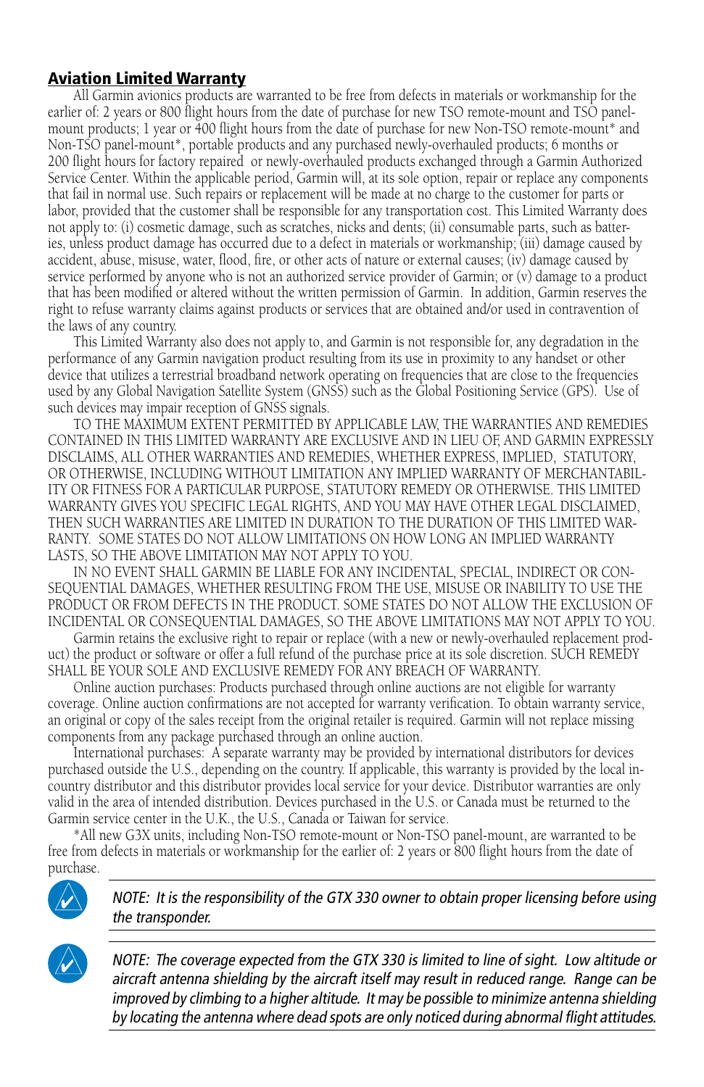#### Aviation Limited Warranty

All Garmin avionics products are warranted to be free from defects in materials or workmanship for the earlier of: 2 years or 800 flight hours from the date of purchase for new TSO remote-mount and TSO panelmount products; 1 year or 400 flight hours from the date of purchase for new Non-TSO remote-mount\* and Non-TSO panel-mount\*, portable products and any purchased newly-overhauled products; 6 months or 200 flight hours for factory repaired or newly-overhauled products exchanged through a Garmin Authorized Service Center. Within the applicable period, Garmin will, at its sole option, repair or replace any components that fail in normal use. Such repairs or replacement will be made at no charge to the customer for parts or labor, provided that the customer shall be responsible for any transportation cost. This Limited Warranty does not apply to: (i) cosmetic damage, such as scratches, nicks and dents; (ii) consumable parts, such as batteries, unless product damage has occurred due to a defect in materials or workmanship; (iii) damage caused by accident, abuse, misuse, water, flood, fire, or other acts of nature or external causes; (iv) damage caused by service performed by anyone who is not an authorized service provider of Garmin; or (v) damage to a product that has been modified or altered without the written permission of Garmin. In addition, Garmin reserves the right to refuse warranty claims against products or services that are obtained and/or used in contravention of the laws of any country.

This Limited Warranty also does not apply to, and Garmin is not responsible for, any degradation in the performance of any Garmin navigation product resulting from its use in proximity to any handset or other device that utilizes a terrestrial broadband network operating on frequencies that are close to the frequencies used by any Global Navigation Satellite System (GNSS) such as the Global Positioning Service (GPS). Use of such devices may impair reception of GNSS signals.

TO THE MAXIMUM EXTENT PERMITTED BY APPLICABLE LAW, THE WARRANTIES AND REMEDIES CONTAINED IN THIS LIMITED WARRANTY ARE EXCLUSIVE AND IN LIEU OF, AND GARMIN EXPRESSLY DISCLAIMS, ALL OTHER WARRANTIES AND REMEDIES, WHETHER EXPRESS, IMPLIED, STATUTORY, OR OTHERWISE, INCLUDING WITHOUT LIMITATION ANY IMPLIED WARRANTY OF MERCHANTABIL-ITY OR FITNESS FOR A PARTICULAR PURPOSE, STATUTORY REMEDY OR OTHERWISE. THIS LIMITED WARRANTY GIVES YOU SPECIFIC LEGAL RIGHTS, AND YOU MAY HAVE OTHER LEGAL DISCLAIMED, THEN SUCH WARRANTIES ARE LIMITED IN DURATION TO THE DURATION OF THIS LIMITED WAR-RANTY. SOME STATES DO NOT ALLOW LIMITATIONS ON HOW LONG AN IMPLIED WARRANTY LASTS, SO THE ABOVE LIMITATION MAY NOT APPLY TO YOU.

IN NO EVENT SHALL GARMIN BE LIABLE FOR ANY INCIDENTAL, SPECIAL, INDIRECT OR CON-SEQUENTIAL DAMAGES, WHETHER RESULTING FROM THE USE, MISUSE OR INABILITY TO USE THE PRODUCT OR FROM DEFECTS IN THE PRODUCT. SOME STATES DO NOT ALLOW THE EXCLUSION OF INCIDENTAL OR CONSEQUENTIAL DAMAGES, SO THE ABOVE LIMITATIONS MAY NOT APPLY TO YOU.

Garmin retains the exclusive right to repair or replace (with a new or newly-overhauled replacement product) the product or software or offer a full refund of the purchase price at its sole discretion. SUCH REMEDY SHALL BE YOUR SOLE AND EXCLUSIVE REMEDY FOR ANY BREACH OF WARRANTY.

Online auction purchases: Products purchased through online auctions are not eligible for warranty coverage. Online auction confirmations are not accepted for warranty verification. To obtain warranty service, an original or copy of the sales receipt from the original retailer is required. Garmin will not replace missing components from any package purchased through an online auction.

International purchases: A separate warranty may be provided by international distributors for devices purchased outside the U.S., depending on the country. If applicable, this warranty is provided by the local incountry distributor and this distributor provides local service for your device. Distributor warranties are only valid in the area of intended distribution. Devices purchased in the U.S. or Canada must be returned to the Garmin service center in the U.K., the U.S., Canada or Taiwan for service.

\*All new G3X units, including Non-TSO remote-mount or Non-TSO panel-mount, are warranted to be free from defects in materials or workmanship for the earlier of: 2 years or 800 flight hours from the date of purchase.



NOTE: It is the responsibility of the GTX 330 owner to obtain proper licensing before using the transponder.

NOTE: The coverage expected from the GTX 330 is limited to line of sight. Low altitude or aircraft antenna shielding by the aircraft itself may result in reduced range. Range can be improved by climbing to a higher altitude. It may be possible to minimize antenna shielding by locating the antenna where dead spots are only noticed during abnormal flight attitudes.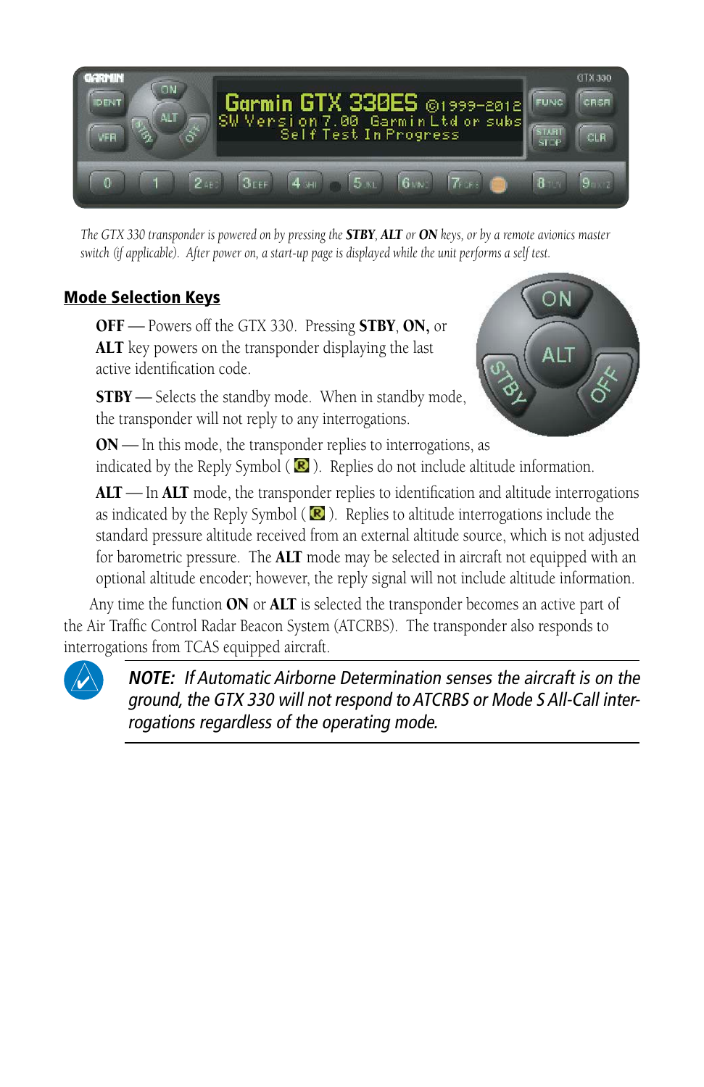

*The GTX 330 transponder is powered on by pressing the STBY, ALT or ON keys, or by a remote avionics master switch (if applicable). After power on, a start-up page is displayed while the unit performs a self test.*

#### Mode Selection Keys

OFF - Powers off the GTX 330. Pressing STBY, ON, or ALT key powers on the transponder displaying the last active identification code.

**STBY** - Selects the standby mode. When in standby mode, the transponder will not reply to any interrogations.



 $ON$ — In this mode, the transponder replies to interrogations, as indicated by the Reply Symbol ( $\blacksquare$ ). Replies do not include altitude information.

 $\text{ALT}$   $\text{In } \text{ALT}$  mode, the transponder replies to identification and altitude interrogations as indicated by the Reply Symbol ( $\mathbb{R}$ ). Replies to altitude interrogations include the standard pressure altitude received from an external altitude source, which is not adjusted for barometric pressure. The **ALT** mode may be selected in aircraft not equipped with an optional altitude encoder; however, the reply signal will not include altitude information.

Any time the function ON or ALT is selected the transponder becomes an active part of the Air Traffic Control Radar Beacon System (ATCRBS). The transponder also responds to interrogations from TCAS equipped aircraft.



**NOTE:** If Automatic Airborne Determination senses the aircraft is on the ground, the GTX 330 will not respond to ATCRBS or Mode S All-Call interrogations regardless of the operating mode.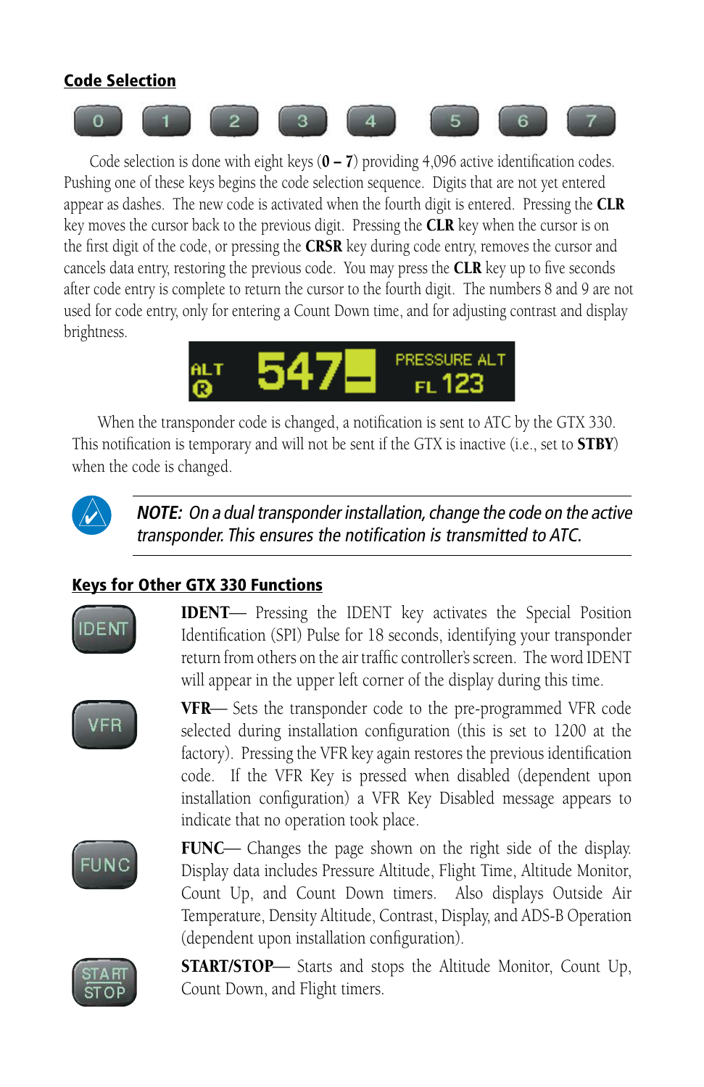#### Code Selection



Code selection is done with eight keys  $(0 – 7)$  providing 4,096 active identification codes. Pushing one of these keys begins the code selection sequence. Digits that are not yet entered appear as dashes. The new code is activated when the fourth digit is entered. Pressing the  $CLR$ key moves the cursor back to the previous digit. Pressing the **CLR** key when the cursor is on the first digit of the code, or pressing the CRSR key during code entry, removes the cursor and cancels data entry, restoring the previous code. You may press the **CLR** key up to five seconds after code entry is complete to return the cursor to the fourth digit. The numbers 8 and 9 are not used for code entry, only for entering a Count Down time, and for adjusting contrast and display brightness.



When the transponder code is changed, a notification is sent to ATC by the GTX 330. This notification is temporary and will not be sent if the GTX is inactive (i.e., set to **STBY**) when the code is changed.



**NOTE:** On a dual transponder installation, change the code on the active transponder. This ensures the notification is transmitted to ATC.

#### Keys for Other GTX 330 Functions



**IDENT** Pressing the IDENT key activates the Special Position Identification (SPI) Pulse for 18 seconds, identifying your transponder return from others on the air traffic controller's screen. The word IDENT will appear in the upper left corner of the display during this time.



VFR-Sets the transponder code to the pre-programmed VFR code selected during installation configuration (this is set to 1200 at the factory). Pressing the VFR key again restores the previous identification code. If the VFR Key is pressed when disabled (dependent upon installation configuration) a VFR Key Disabled message appears to indicate that no operation took place.



FUNC— Changes the page shown on the right side of the display. Display data includes Pressure Altitude, Flight Time, Altitude Monitor, Count Up, and Count Down timers. Also displays Outside Air Temperature, Density Altitude, Contrast, Display, and ADS-B Operation (dependent upon installation configuration).



**START/STOP**— Starts and stops the Altitude Monitor, Count Up, Count Down, and Flight timers.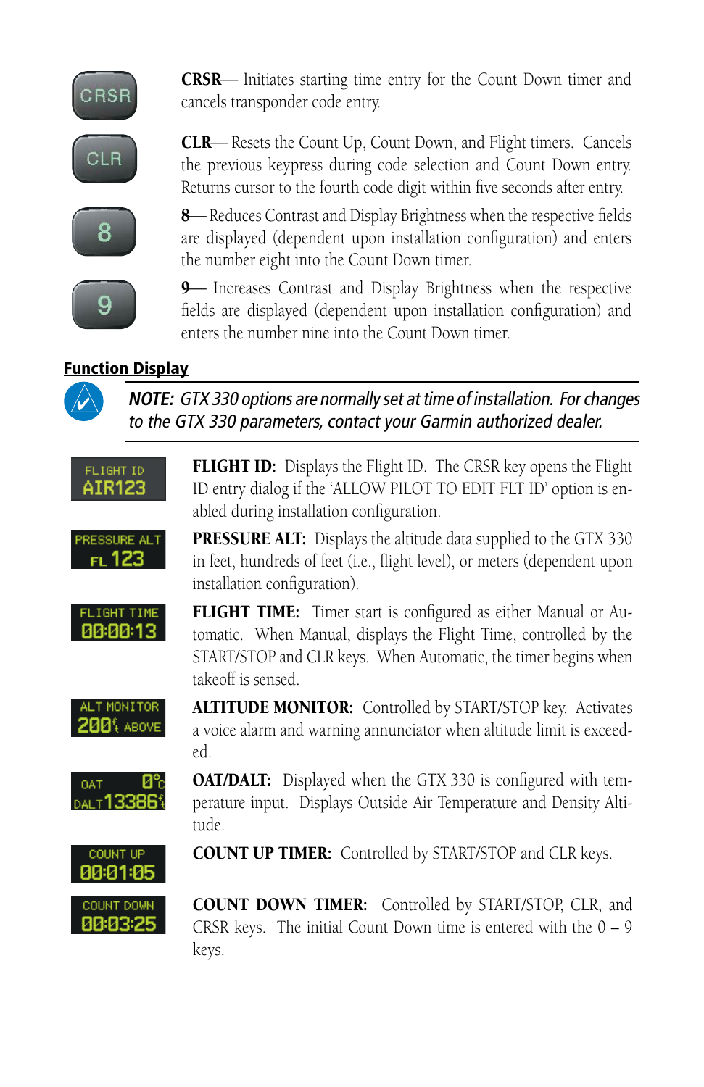

**CRSR**— Initiates starting time entry for the Count Down timer and cancels transponder code entry.



**CLR**— Resets the Count Up, Count Down, and Flight timers. Cancels the previous keypress during code selection and Count Down entry. Returns cursor to the fourth code digit within five seconds after entry.



g

8 Reduces Contrast and Display Brightness when the respective fields are displayed (dependent upon installation configuration) and enters the number eight into the Count Down timer.

**9** Increases Contrast and Display Brightness when the respective fields are displayed (dependent upon installation configuration) and enters the number nine into the Count Down timer.

#### Function Display



**NOTE:** GTX 330 options are normally set at time of installation. For changes to the GTX 330 parameters, contact your Garmin authorized dealer.

FLIGHT ID AIR123 FLIGHT ID: Displays the Flight ID. The CRSR key opens the Flight ID entry dialog if the 'ALLOW PILOT TO EDIT FLT ID' option is enabled during installation configuration.



**PRESSURE ALT:** Displays the altitude data supplied to the GTX 330 in feet, hundreds of feet (i.e., flight level), or meters (dependent upon installation configuration).



FLIGHT TIME: Timer start is configured as either Manual or Automatic. When Manual, displays the Flight Time, controlled by the START/STOP and CLR keys. When Automatic, the timer begins when takeoff is sensed.



ALTITUDE MONITOR: Controlled by START/STOP key. Activates a voice alarm and warning annunciator when altitude limit is exceeded.



**OAT/DALT:** Displayed when the GTX 330 is configured with temperature input. Displays Outside Air Temperature and Density Altitude.



COUNT UP TIMER: Controlled by START/STOP and CLR keys.



COUNT DOWN TIMER: Controlled by START/STOP, CLR, and CRSR keys. The initial Count Down time is entered with the  $0 - 9$ keys.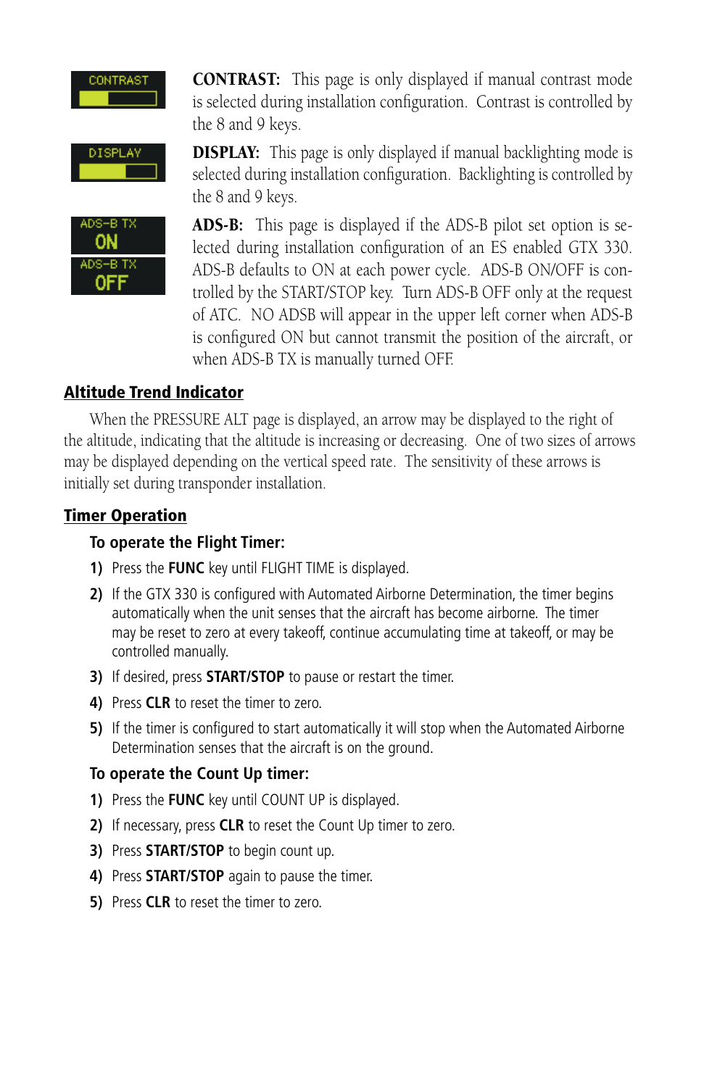

CONTRAST: This page is only displayed if manual contrast mode is selected during installation configuration. Contrast is controlled by the 8 and 9 keys.





**DISPLAY:** This page is only displayed if manual backlighting mode is selected during installation configuration. Backlighting is controlled by the 8 and 9 keys.

ADS-B: This page is displayed if the ADS-B pilot set option is selected during installation configuration of an ES enabled GTX 330. ADS-B defaults to ON at each power cycle. ADS-B ON/OFF is controlled by the START/STOP key. Turn ADS-B OFF only at the request of ATC. NO ADSB will appear in the upper left corner when ADS-B is configured ON but cannot transmit the position of the aircraft, or when ADS-B TX is manually turned OFF.

#### Altitude Trend Indicator

When the PRESSURE ALT page is displayed, an arrow may be displayed to the right of the altitude, indicating that the altitude is increasing or decreasing. One of two sizes of arrows may be displayed depending on the vertical speed rate. The sensitivity of these arrows is initially set during transponder installation.

#### Timer Operation

#### **To operate the Flight Timer:**

- **1)** Press the **FUNC** key until FLIGHT TIME is displayed.
- **2)** If the GTX 330 is configured with Automated Airborne Determination, the timer begins automatically when the unit senses that the aircraft has become airborne. The timer may be reset to zero at every takeoff, continue accumulating time at takeoff, or may be controlled manually.
- **3)** If desired, press **START/STOP** to pause or restart the timer.
- **4)** Press **CLR** to reset the timer to zero.
- **5)** If the timer is configured to start automatically it will stop when the Automated Airborne Determination senses that the aircraft is on the ground.

#### **To operate the Count Up timer:**

- **1)** Press the **FUNC** key until COUNT UP is displayed.
- **2)** If necessary, press **CLR** to reset the Count Up timer to zero.
- **3)** Press **START/STOP** to begin count up.
- **4)** Press **START/STOP** again to pause the timer.
- **5)** Press **CLR** to reset the timer to zero.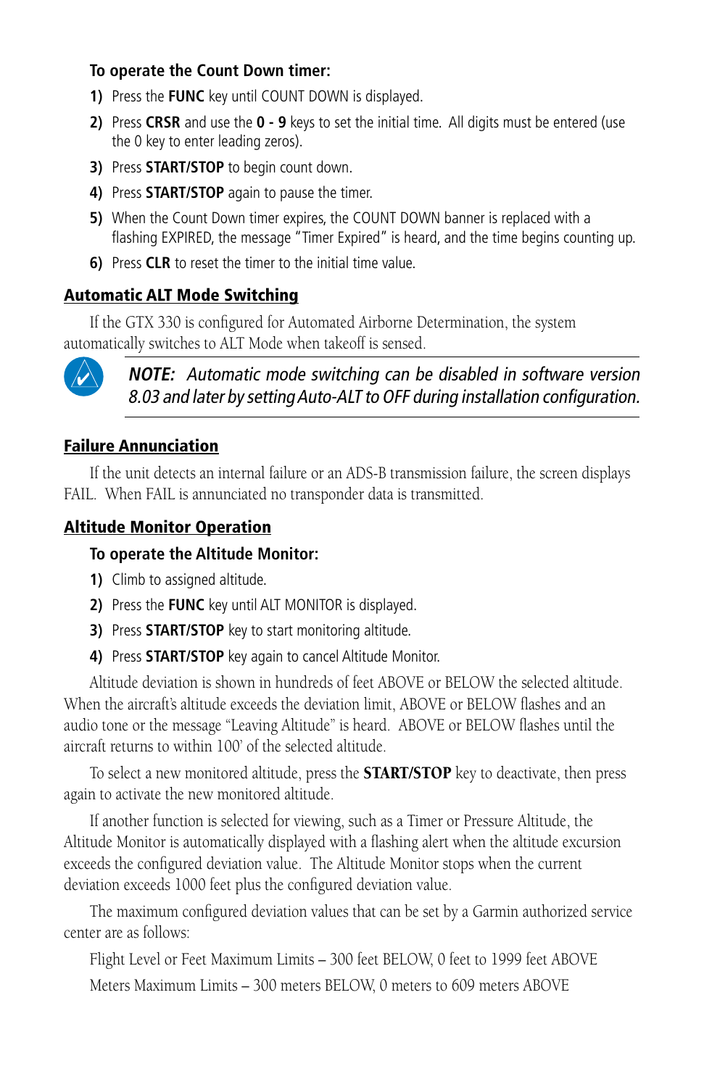#### **To operate the Count Down timer:**

- **1)** Press the **FUNC** key until COUNT DOWN is displayed.
- **2)** Press **CRSR** and use the **0 9** keys to set the initial time. All digits must be entered (use the 0 key to enter leading zeros).
- **3)** Press **START/STOP** to begin count down.
- **4)** Press **START/STOP** again to pause the timer.
- **5)** When the Count Down timer expires, the COUNT DOWN banner is replaced with a flashing EXPIRED, the message "Timer Expired" is heard, and the time begins counting up.
- **6)** Press **CLR** to reset the timer to the initial time value.

#### Automatic ALT Mode Switching

If the GTX 330 is configured for Automated Airborne Determination, the system automatically switches to ALT Mode when takeoff is sensed.



**NOTE:** Automatic mode switching can be disabled in software version 8.03 and later by setting Auto-ALT to OFF during installation configuration.

#### Failure Annunciation

If the unit detects an internal failure or an ADS-B transmission failure, the screen displays FAIL. When FAIL is annunciated no transponder data is transmitted.

#### Altitude Monitor Operation

#### **To operate the Altitude Monitor:**

- **1)** Climb to assigned altitude.
- **2)** Press the **FUNC** key until ALT MONITOR is displayed.
- **3)** Press **START/STOP** key to start monitoring altitude.
- **4)** Press **START/STOP** key again to cancel Altitude Monitor.

Altitude deviation is shown in hundreds of feet ABOVE or BELOW the selected altitude. When the aircraft's altitude exceeds the deviation limit, ABOVE or BELOW flashes and an audio tone or the message "Leaving Altitude" is heard. ABOVE or BELOW flashes until the aircraft returns to within 100' of the selected altitude.

To select a new monitored altitude, press the START/STOP key to deactivate, then press again to activate the new monitored altitude.

If another function is selected for viewing, such as a Timer or Pressure Altitude, the Altitude Monitor is automatically displayed with a flashing alert when the altitude excursion exceeds the configured deviation value. The Altitude Monitor stops when the current deviation exceeds 1000 feet plus the configured deviation value.

The maximum configured deviation values that can be set by a Garmin authorized service center are as follows:

Flight Level or Feet Maximum Limits – 300 feet BELOW, 0 feet to 1999 feet ABOVE

Meters Maximum Limits – 300 meters BELOW, 0 meters to 609 meters ABOVE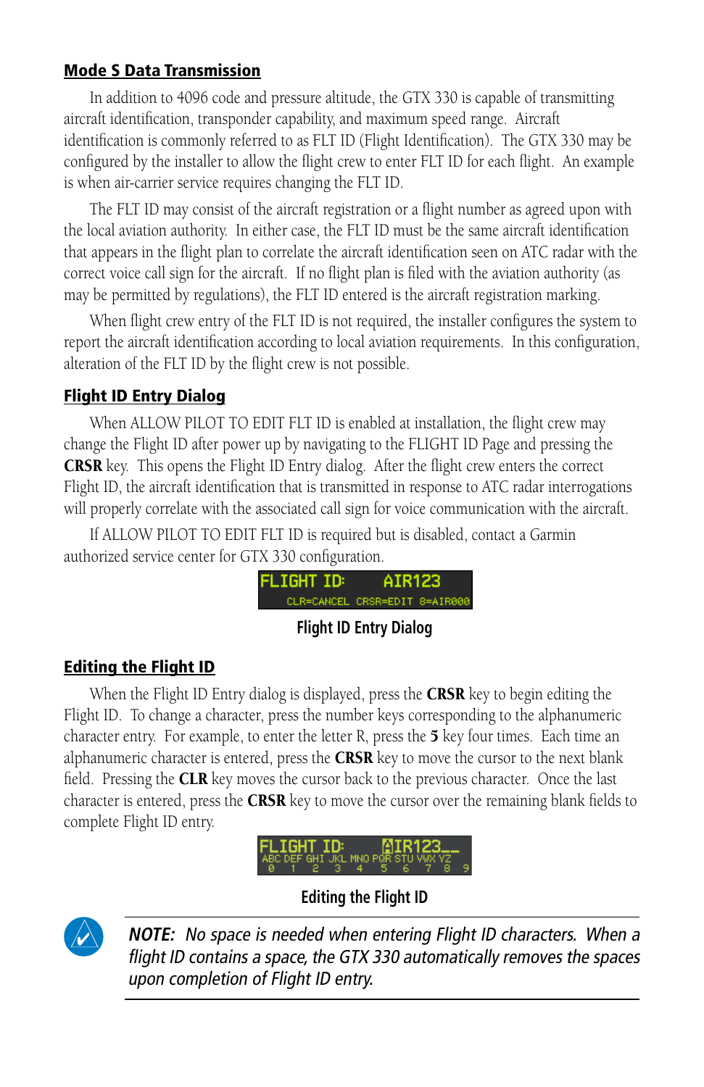#### Mode S Data Transmission

In addition to 4096 code and pressure altitude, the GTX 330 is capable of transmitting aircraft identification, transponder capability, and maximum speed range. Aircraft identification is commonly referred to as FLT ID (Flight Identification). The GTX 330 may be configured by the installer to allow the flight crew to enter FLT ID for each flight. An example is when air-carrier service requires changing the FLT ID.

The FLT ID may consist of the aircraft registration or a flight number as agreed upon with the local aviation authority. In either case, the FLT ID must be the same aircraft identification that appears in the flight plan to correlate the aircraft identification seen on ATC radar with the correct voice call sign for the aircraft. If no flight plan is filed with the aviation authority (as may be permitted by regulations), the FLT ID entered is the aircraft registration marking.

When flight crew entry of the FLT ID is not required, the installer configures the system to report the aircraft identification according to local aviation requirements. In this configuration, alteration of the FLT ID by the flight crew is not possible.

#### Flight ID Entry Dialog

When ALLOW PILOT TO EDIT FLT ID is enabled at installation, the flight crew may change the Flight ID after power up by navigating to the FLIGHT ID Page and pressing the CRSR key. This opens the Flight ID Entry dialog. After the flight crew enters the correct Flight ID, the aircraft identification that is transmitted in response to ATC radar interrogations will properly correlate with the associated call sign for voice communication with the aircraft.

If ALLOW PILOT TO EDIT FLT ID is required but is disabled, contact a Garmin authorized service center for GTX 330 configuration.



#### **Flight ID Entry Dialog**

#### Editing the Flight ID

When the Flight ID Entry dialog is displayed, press the **CRSR** key to begin editing the Flight ID. To change a character, press the number keys corresponding to the alphanumeric character entry. For example, to enter the letter R, press the  $5$  key four times. Each time an alphanumeric character is entered, press the  $CRSR$  key to move the cursor to the next blank field. Pressing the **CLR** key moves the cursor back to the previous character. Once the last character is entered, press the CRSR key to move the cursor over the remaining blank fields to complete Flight ID entry.



**Editing the Flight ID**



**NOTE:** No space is needed when entering Flight ID characters. When a flight ID contains a space, the GTX 330 automatically removes the spaces upon completion of Flight ID entry.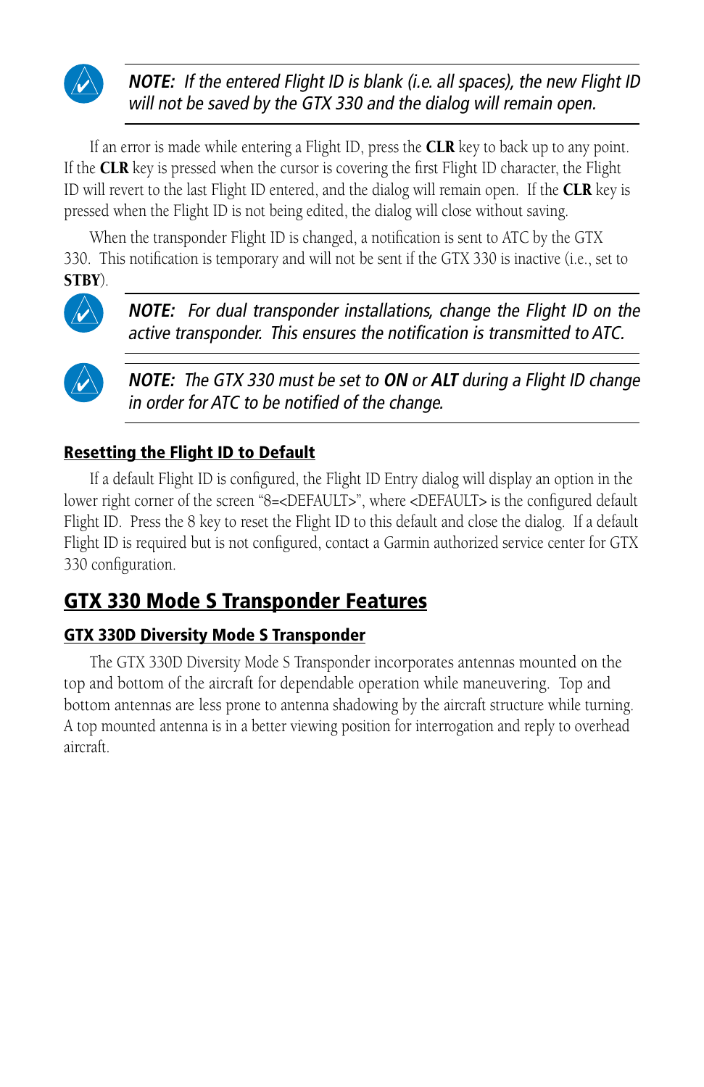

**NOTE:** If the entered Flight ID is blank (i.e. all spaces), the new Flight ID will not be saved by the GTX 330 and the dialog will remain open.

If an error is made while entering a Flight ID, press the **CLR** key to back up to any point. If the **CLR** key is pressed when the cursor is covering the first Flight ID character, the Flight ID will revert to the last Flight ID entered, and the dialog will remain open. If the CLR key is pressed when the Flight ID is not being edited, the dialog will close without saving.

When the transponder Flight ID is changed, a notification is sent to ATC by the GTX 330. This notification is temporary and will not be sent if the GTX 330 is inactive (i.e., set to STBY).



**NOTE:** For dual transponder installations, change the Flight ID on the active transponder. This ensures the notification is transmitted to ATC.



**NOTE:** The GTX 330 must be set to **ON** or **ALT** during a Flight ID change in order for ATC to be notified of the change.

#### Resetting the Flight ID to Default

If a default Flight ID is configured, the Flight ID Entry dialog will display an option in the lower right corner of the screen "8=<DEFAULT>", where <DEFAULT> is the configured default Flight ID. Press the 8 key to reset the Flight ID to this default and close the dialog. If a default Flight ID is required but is not configured, contact a Garmin authorized service center for GTX 330 configuration.

### GTX 330 Mode S Transponder Features

#### GTX 330D Diversity Mode S Transponder

The GTX 330D Diversity Mode S Transponder incorporates antennas mounted on the top and bottom of the aircraft for dependable operation while maneuvering. Top and bottom antennas are less prone to antenna shadowing by the aircraft structure while turning. A top mounted antenna is in a better viewing position for interrogation and reply to overhead aircraft.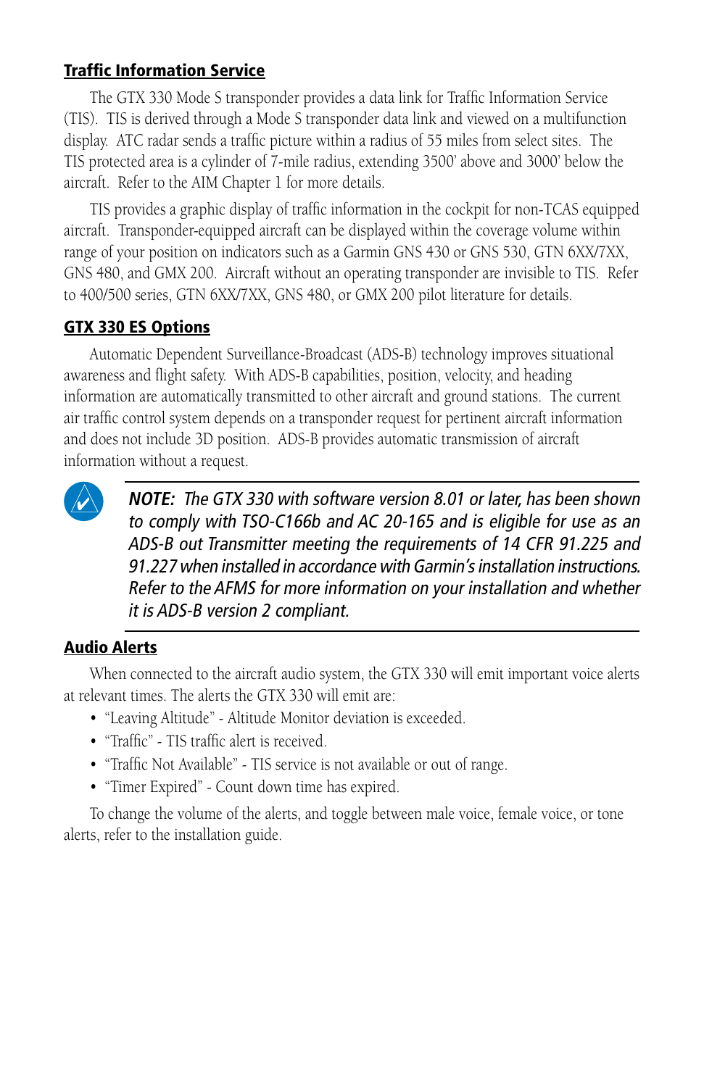#### Traffic Information Service

The GTX 330 Mode S transponder provides a data link for Traffic Information Service (TIS). TIS is derived through a Mode S transponder data link and viewed on a multifunction display. ATC radar sends a traffic picture within a radius of 55 miles from select sites. The TIS protected area is a cylinder of 7-mile radius, extending 3500' above and 3000' below the aircraft. Refer to the AIM Chapter 1 for more details.

TIS provides a graphic display of traffic information in the cockpit for non-TCAS equipped aircraft. Transponder-equipped aircraft can be displayed within the coverage volume within range of your position on indicators such as a Garmin GNS 430 or GNS 530, GTN 6XX/7XX, GNS 480, and GMX 200. Aircraft without an operating transponder are invisible to TIS. Refer to 400/500 series, GTN 6XX/7XX, GNS 480, or GMX 200 pilot literature for details.

#### GTX 330 ES Options

Automatic Dependent Surveillance-Broadcast (ADS-B) technology improves situational awareness and flight safety. With ADS-B capabilities, position, velocity, and heading information are automatically transmitted to other aircraft and ground stations. The current air traffic control system depends on a transponder request for pertinent aircraft information and does not include 3D position. ADS-B provides automatic transmission of aircraft information without a request.



**NOTE:** The GTX 330 with software version 8.01 or later, has been shown to comply with TSO-C166b and AC 20-165 and is eligible for use as an ADS-B out Transmitter meeting the requirements of 14 CFR 91.225 and 91.227 when installed in accordance with Garmin's installation instructions. Refer to the AFMS for more information on your installation and whether it is ADS-B version 2 compliant.

#### Audio Alerts

When connected to the aircraft audio system, the GTX 330 will emit important voice alerts at relevant times. The alerts the GTX 330 will emit are:

- "Leaving Altitude" Altitude Monitor deviation is exceeded.
- "Traffic" TIS traffic alert is received.
- "Traffic Not Available" TIS service is not available or out of range.
- "Timer Expired" Count down time has expired.

To change the volume of the alerts, and toggle between male voice, female voice, or tone alerts, refer to the installation guide.